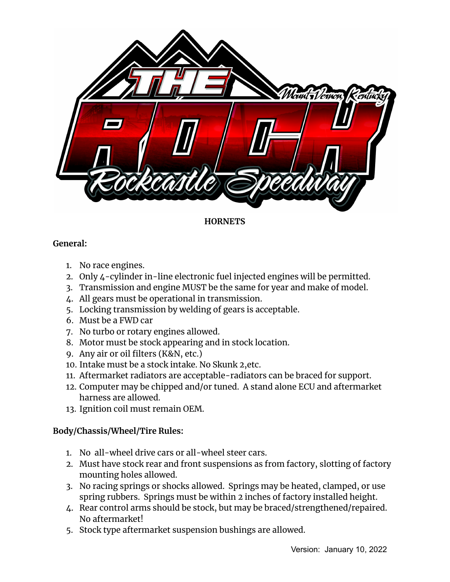

# **HORNETS**

# **General:**

- 1. No race engines.
- 2. Only 4-cylinder in-line electronic fuel injected engines will be permitted.
- 3. Transmission and engine MUST be the same for year and make of model.
- 4. All gears must be operational in transmission.
- 5. Locking transmission by welding of gears is acceptable.
- 6. Must be a FWD car
- 7. No turbo or rotary engines allowed.
- 8. Motor must be stock appearing and in stock location.
- 9. Any air or oil filters (K&N, etc.)
- 10. Intake must be a stock intake. No Skunk 2,etc.
- 11. Aftermarket radiators are acceptable-radiators can be braced for support.
- 12. Computer may be chipped and/or tuned. A stand alone ECU and aftermarket harness are allowed.
- 13. Ignition coil must remain OEM.

# **Body/Chassis/Wheel/Tire Rules:**

- 1. No all-wheel drive cars or all-wheel steer cars.
- 2. Must have stock rear and front suspensions as from factory, slotting of factory mounting holes allowed.
- 3. No racing springs or shocks allowed. Springs may be heated, clamped, or use spring rubbers. Springs must be within 2 inches of factory installed height.
- 4. Rear control arms should be stock, but may be braced/strengthened/repaired. No aftermarket!
- 5. Stock type aftermarket suspension bushings are allowed.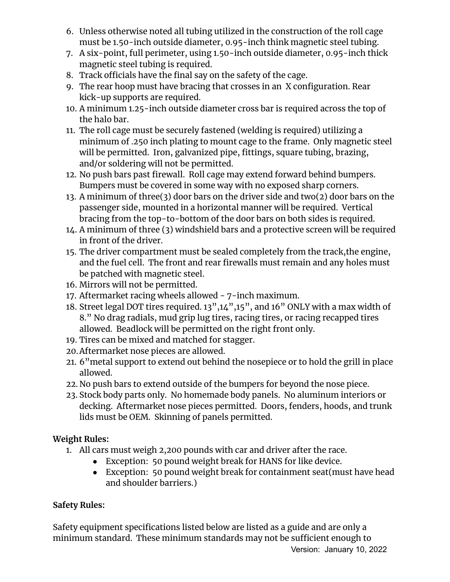- 6. Unless otherwise noted all tubing utilized in the construction of the roll cage must be 1.50-inch outside diameter, 0.95-inch think magnetic steel tubing.
- 7. A six-point, full perimeter, using 1.50-inch outside diameter, 0.95-inch thick magnetic steel tubing is required.
- 8. Track officials have the final say on the safety of the cage.
- 9. The rear hoop must have bracing that crosses in an X configuration. Rear kick-up supports are required.
- 10. A minimum 1.25-inch outside diameter cross bar is required across the top of the halo bar.
- 11. The roll cage must be securely fastened (welding is required) utilizing a minimum of .250 inch plating to mount cage to the frame. Only magnetic steel will be permitted. Iron, galvanized pipe, fittings, square tubing, brazing, and/or soldering will not be permitted.
- 12. No push bars past firewall. Roll cage may extend forward behind bumpers. Bumpers must be covered in some way with no exposed sharp corners.
- 13. A minimum of three(3) door bars on the driver side and two(2) door bars on the passenger side, mounted in a horizontal manner will be required. Vertical bracing from the top-to-bottom of the door bars on both sides is required.
- 14. A minimum of three (3) windshield bars and a protective screen will be required in front of the driver.
- 15. The driver compartment must be sealed completely from the track,the engine, and the fuel cell. The front and rear firewalls must remain and any holes must be patched with magnetic steel.
- 16. Mirrors will not be permitted.
- 17. Aftermarket racing wheels allowed 7-inch maximum.
- 18. Street legal DOT tires required. 13",14",15", and 16" ONLY with a max width of 8." No drag radials, mud grip lug tires, racing tires, or racing recapped tires allowed. Beadlock will be permitted on the right front only.
- 19. Tires can be mixed and matched for stagger.
- 20.Aftermarket nose pieces are allowed.
- 21. 6"metal support to extend out behind the nosepiece or to hold the grill in place allowed.
- 22. No push bars to extend outside of the bumpers for beyond the nose piece.
- 23. Stock body parts only. No homemade body panels. No aluminum interiors or decking. Aftermarket nose pieces permitted. Doors, fenders, hoods, and trunk lids must be OEM. Skinning of panels permitted.

# **Weight Rules:**

- 1. All cars must weigh 2,200 pounds with car and driver after the race.
	- Exception: 50 pound weight break for HANS for like device.
	- Exception: 50 pound weight break for containment seat(must have head and shoulder barriers.)

# **Safety Rules:**

Safety equipment specifications listed below are listed as a guide and are only a minimum standard. These minimum standards may not be sufficient enough to